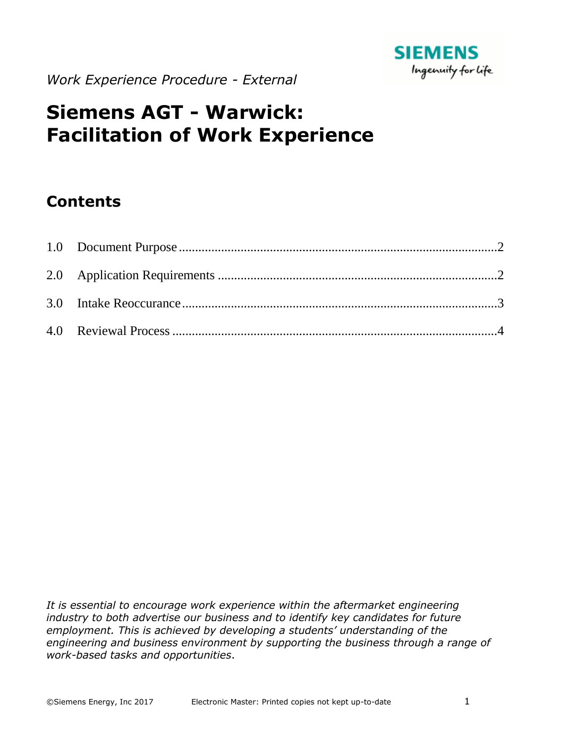

*Work Experience Procedure - External*

# **Siemens AGT - Warwick: Facilitation of Work Experience**

# **Contents**

It is essential to encourage work experience within the aftermarket engineering *industry to both advertise our business and to identify key candidates for future employment. This is achieved by developing a students' understanding of the engineering and business environment by supporting the business through a range of work-based tasks and opportunities*.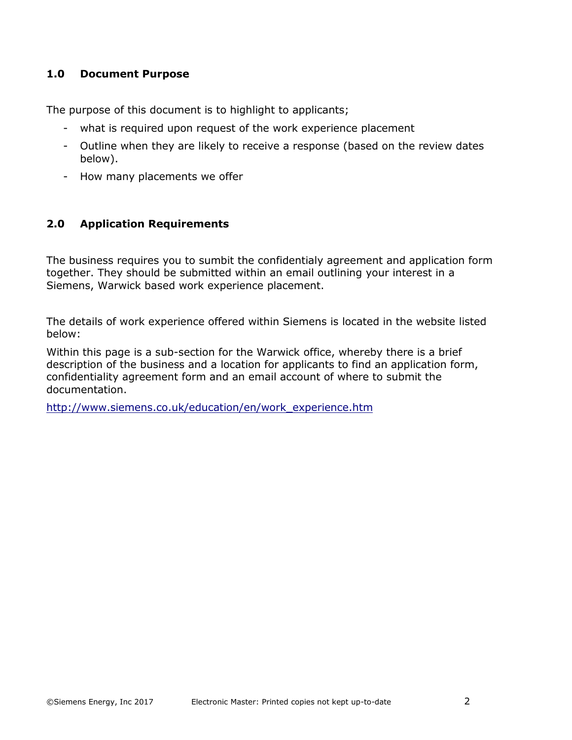#### <span id="page-1-0"></span>**1.0 Document Purpose**

The purpose of this document is to highlight to applicants;

- what is required upon request of the work experience placement
- Outline when they are likely to receive a response (based on the review dates below).
- How many placements we offer

## <span id="page-1-1"></span>**2.0 Application Requirements**

The business requires you to sumbit the confidentialy agreement and application form together. They should be submitted within an email outlining your interest in a Siemens, Warwick based work experience placement.

The details of work experience offered within Siemens is located in the website listed below:

Within this page is a sub-section for the Warwick office, whereby there is a brief description of the business and a location for applicants to find an application form, confidentiality agreement form and an email account of where to submit the documentation.

[http://www.siemens.co.uk/education/en/work\\_experience.htm](http://www.siemens.co.uk/education/en/work_experience.htm)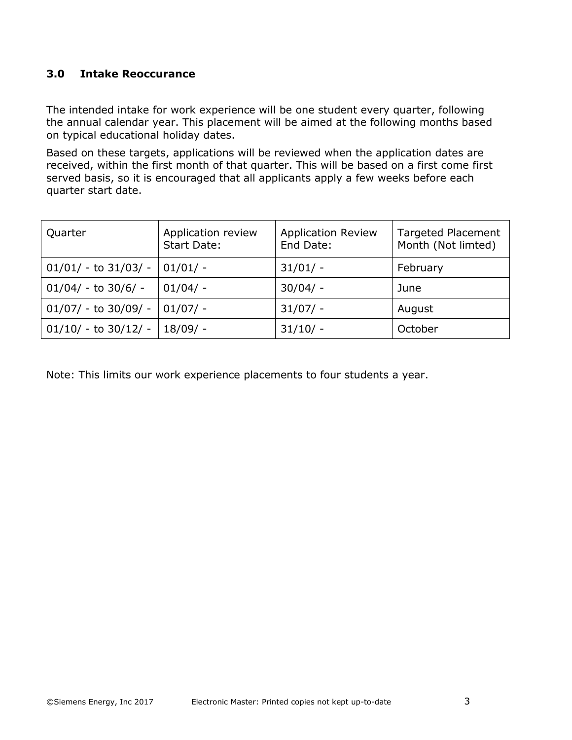## <span id="page-2-0"></span>**3.0 Intake Reoccurance**

The intended intake for work experience will be one student every quarter, following the annual calendar year. This placement will be aimed at the following months based on typical educational holiday dates.

Based on these targets, applications will be reviewed when the application dates are received, within the first month of that quarter. This will be based on a first come first served basis, so it is encouraged that all applicants apply a few weeks before each quarter start date.

| Quarter                  | Application review<br>Start Date: | <b>Application Review</b><br>End Date: | <b>Targeted Placement</b><br>Month (Not limted) |
|--------------------------|-----------------------------------|----------------------------------------|-------------------------------------------------|
| $01/01/ -$ to $31/03/ -$ | $01/01/ -$                        | $31/01/ -$                             | February                                        |
| $01/04/ -$ to 30/6/ -    | $01/04/ -$                        | $30/04/ -$                             | June                                            |
| $01/07/ -$ to 30/09/ -   | $01/07/ -$                        | $31/07/ -$                             | August                                          |
| $01/10/ -$ to 30/12/ -   | 18/09/ -                          | $31/10/ -$                             | October                                         |

Note: This limits our work experience placements to four students a year.